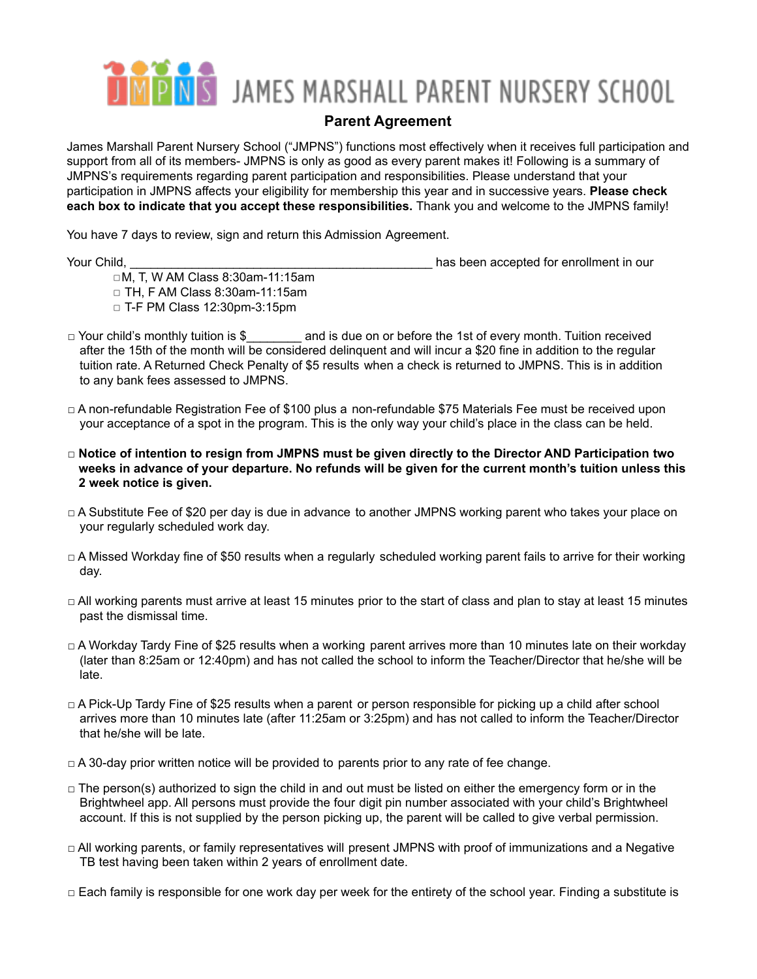## **PINS** JAMES MARSHALL PARENT NURSERY SCHOOL

## **Parent Agreement**

James Marshall Parent Nursery School ("JMPNS") functions most effectively when it receives full participation and support from all of its members- JMPNS is only as good as every parent makes it! Following is a summary of JMPNS's requirements regarding parent participation and responsibilities. Please understand that your participation in JMPNS affects your eligibility for membership this year and in successive years. **Please check each box to indicate that you accept these responsibilities.** Thank you and welcome to the JMPNS family!

You have 7 days to review, sign and return this Admission Agreement.

Your Child, The Child, and The Child, and The Child of the Child of the Child of the Child of the Child of the Child of the Child of the Child of the Child of the Child of the Child of the Child of the Child of the Child o

- ◻M, T, W AM Class 8:30am-11:15am
- ◻ TH, F AM Class 8:30am-11:15am ◻ T-F PM Class 12:30pm-3:15pm
- $\Box$  Your child's monthly tuition is \$ and is due on or before the 1st of every month. Tuition received after the 15th of the month will be considered delinquent and will incur a \$20 fine in addition to the regular tuition rate. A Returned Check Penalty of \$5 results when a check is returned to JMPNS. This is in addition to any bank fees assessed to JMPNS.
- □ A non-refundable Registration Fee of \$100 plus a non-refundable \$75 Materials Fee must be received upon your acceptance of a spot in the program. This is the only way your child's place in the class can be held.
- □ **Notice of intention to resign from JMPNS must be given directly to the Director AND Participation two** weeks in advance of your departure. No refunds will be given for the current month's tuition unless this **2 week notice is given.**
- □ A Substitute Fee of \$20 per day is due in advance to another JMPNS working parent who takes your place on your regularly scheduled work day.
- □ A Missed Workday fine of \$50 results when a regularly scheduled working parent fails to arrive for their working day.
- $\Box$  All working parents must arrive at least 15 minutes prior to the start of class and plan to stay at least 15 minutes past the dismissal time.
- □ A Workday Tardy Fine of \$25 results when a working parent arrives more than 10 minutes late on their workday (later than 8:25am or 12:40pm) and has not called the school to inform the Teacher/Director that he/she will be late.
- □ A Pick-Up Tardy Fine of \$25 results when a parent or person responsible for picking up a child after school arrives more than 10 minutes late (after 11:25am or 3:25pm) and has not called to inform the Teacher/Director that he/she will be late.
- $\Box$  A 30-day prior written notice will be provided to parents prior to any rate of fee change.
- □ The person(s) authorized to sign the child in and out must be listed on either the emergency form or in the Brightwheel app. All persons must provide the four digit pin number associated with your child's Brightwheel account. If this is not supplied by the person picking up, the parent will be called to give verbal permission.
- □ All working parents, or family representatives will present JMPNS with proof of immunizations and a Negative TB test having been taken within 2 years of enrollment date.
- $\Box$  Each family is responsible for one work day per week for the entirety of the school year. Finding a substitute is